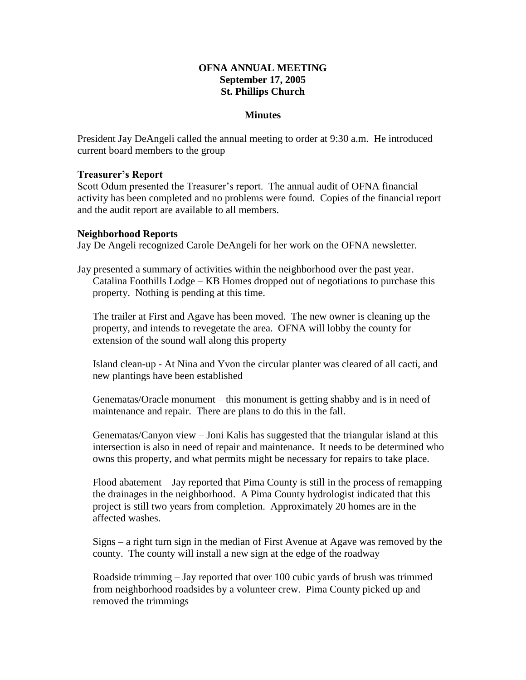## **OFNA ANNUAL MEETING September 17, 2005 St. Phillips Church**

### **Minutes**

President Jay DeAngeli called the annual meeting to order at 9:30 a.m. He introduced current board members to the group

#### **Treasurer's Report**

Scott Odum presented the Treasurer's report. The annual audit of OFNA financial activity has been completed and no problems were found. Copies of the financial report and the audit report are available to all members.

#### **Neighborhood Reports**

Jay De Angeli recognized Carole DeAngeli for her work on the OFNA newsletter.

Jay presented a summary of activities within the neighborhood over the past year. Catalina Foothills Lodge – KB Homes dropped out of negotiations to purchase this property. Nothing is pending at this time.

The trailer at First and Agave has been moved. The new owner is cleaning up the property, and intends to revegetate the area. OFNA will lobby the county for extension of the sound wall along this property

Island clean-up - At Nina and Yvon the circular planter was cleared of all cacti, and new plantings have been established

Genematas/Oracle monument – this monument is getting shabby and is in need of maintenance and repair. There are plans to do this in the fall.

Genematas/Canyon view – Joni Kalis has suggested that the triangular island at this intersection is also in need of repair and maintenance. It needs to be determined who owns this property, and what permits might be necessary for repairs to take place.

Flood abatement – Jay reported that Pima County is still in the process of remapping the drainages in the neighborhood. A Pima County hydrologist indicated that this project is still two years from completion. Approximately 20 homes are in the affected washes.

Signs – a right turn sign in the median of First Avenue at Agave was removed by the county. The county will install a new sign at the edge of the roadway

Roadside trimming – Jay reported that over 100 cubic yards of brush was trimmed from neighborhood roadsides by a volunteer crew. Pima County picked up and removed the trimmings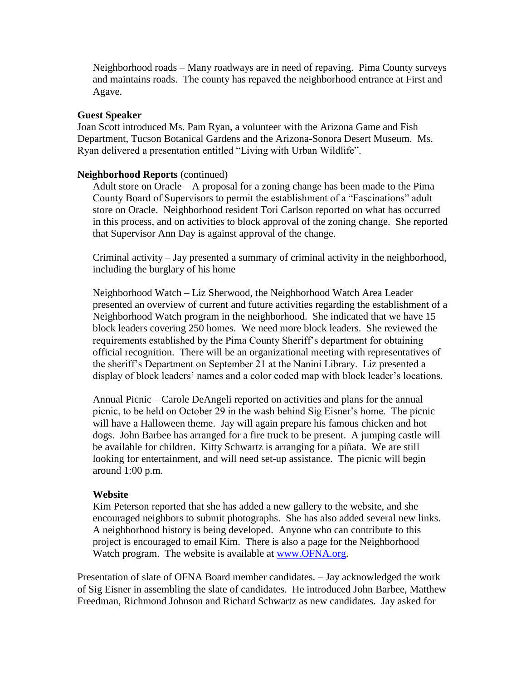Neighborhood roads – Many roadways are in need of repaving. Pima County surveys and maintains roads. The county has repaved the neighborhood entrance at First and Agave.

### **Guest Speaker**

Joan Scott introduced Ms. Pam Ryan, a volunteer with the Arizona Game and Fish Department, Tucson Botanical Gardens and the Arizona-Sonora Desert Museum. Ms. Ryan delivered a presentation entitled "Living with Urban Wildlife".

### **Neighborhood Reports** (continued)

Adult store on Oracle – A proposal for a zoning change has been made to the Pima County Board of Supervisors to permit the establishment of a "Fascinations" adult store on Oracle. Neighborhood resident Tori Carlson reported on what has occurred in this process, and on activities to block approval of the zoning change. She reported that Supervisor Ann Day is against approval of the change.

Criminal activity – Jay presented a summary of criminal activity in the neighborhood, including the burglary of his home

Neighborhood Watch – Liz Sherwood, the Neighborhood Watch Area Leader presented an overview of current and future activities regarding the establishment of a Neighborhood Watch program in the neighborhood. She indicated that we have 15 block leaders covering 250 homes. We need more block leaders. She reviewed the requirements established by the Pima County Sheriff's department for obtaining official recognition. There will be an organizational meeting with representatives of the sheriff's Department on September 21 at the Nanini Library. Liz presented a display of block leaders' names and a color coded map with block leader's locations.

Annual Picnic – Carole DeAngeli reported on activities and plans for the annual picnic, to be held on October 29 in the wash behind Sig Eisner's home. The picnic will have a Halloween theme. Jay will again prepare his famous chicken and hot dogs. John Barbee has arranged for a fire truck to be present. A jumping castle will be available for children. Kitty Schwartz is arranging for a piñata. We are still looking for entertainment, and will need set-up assistance. The picnic will begin around 1:00 p.m.

### **Website**

Kim Peterson reported that she has added a new gallery to the website, and she encouraged neighbors to submit photographs. She has also added several new links. A neighborhood history is being developed. Anyone who can contribute to this project is encouraged to email Kim. There is also a page for the Neighborhood Watch program. The website is available at [www.OFNA.org.](http://www.ofna.org/)

Presentation of slate of OFNA Board member candidates. – Jay acknowledged the work of Sig Eisner in assembling the slate of candidates. He introduced John Barbee, Matthew Freedman, Richmond Johnson and Richard Schwartz as new candidates. Jay asked for